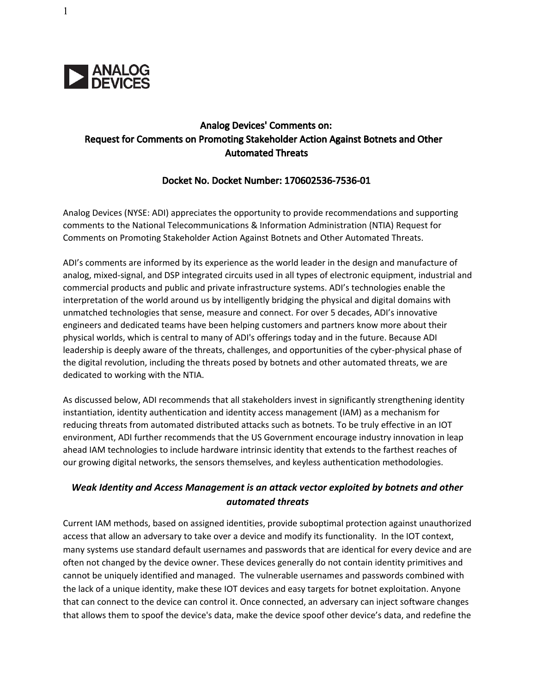

# Analog Devices' Comments on: Request for Comments on Promoting Stakeholder Action Against Botnets and Other Automated Threats

#### Docket No. Docket Number: 170602536-7536-01

Analog Devices (NYSE: ADI) appreciates the opportunity to provide recommendations and supporting comments to the National Telecommunications & Information Administration (NTIA) Request for Comments on Promoting Stakeholder Action Against Botnets and Other Automated Threats.

ADI's comments are informed by its experience as the world leader in the design and manufacture of analog, mixed-signal, and DSP integrated circuits used in all types of electronic equipment, industrial and commercial products and public and private infrastructure systems. ADI's technologies enable the interpretation of the world around us by intelligently bridging the physical and digital domains with unmatched technologies that sense, measure and connect. For over 5 decades, ADI's innovative engineers and dedicated teams have been helping customers and partners know more about their physical worlds, which is central to many of ADI's offerings today and in the future. Because ADI leadership is deeply aware of the threats, challenges, and opportunities of the cyber-physical phase of the digital revolution, including the threats posed by botnets and other automated threats, we are dedicated to working with the NTIA.

As discussed below, ADI recommends that all stakeholders invest in significantly strengthening identity instantiation, identity authentication and identity access management (IAM) as a mechanism for reducing threats from automated distributed attacks such as botnets. To be truly effective in an IOT environment, ADI further recommends that the US Government encourage industry innovation in leap ahead IAM technologies to include hardware intrinsic identity that extends to the farthest reaches of our growing digital networks, the sensors themselves, and keyless authentication methodologies.

## Weak Identity and Access Management is an attack vector exploited by botnets and other automated threats

Current IAM methods, based on assigned identities, provide suboptimal protection against unauthorized access that allow an adversary to take over a device and modify its functionality. In the IOT context, many systems use standard default usernames and passwords that are identical for every device and are often not changed by the device owner. These devices generally do not contain identity primitives and cannot be uniquely identified and managed. The vulnerable usernames and passwords combined with the lack of a unique identity, make these IOT devices and easy targets for botnet exploitation. Anyone that can connect to the device can control it. Once connected, an adversary can inject software changes that allows them to spoof the device's data, make the device spoof other device's data, and redefine the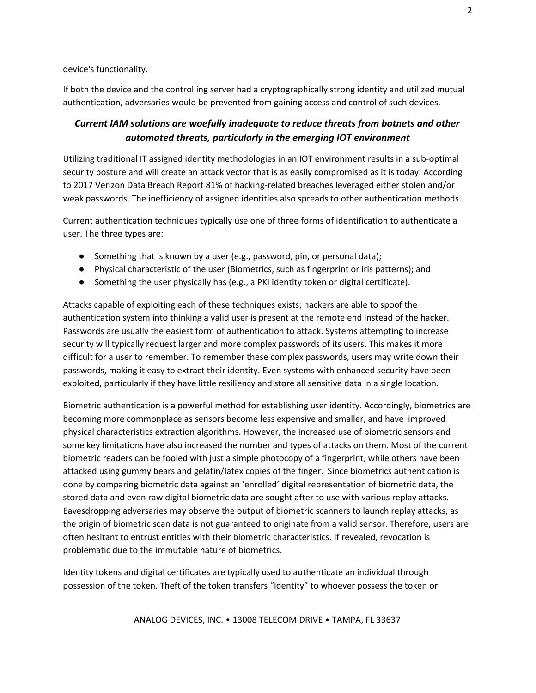device's functionality.

If both the device and the controlling server had a cryptographically strong identity and utilized mutual authentication, adversaries would be prevented from gaining access and control of such devices.

## Current IAM solutions are woefully inadequate to reduce threats from botnets and other automated threats, particularly in the emerging IOT environment

Utilizing traditional IT assigned identity methodologies in an IOT environment results in a sub-optimal security posture and will create an attack vector that is as easily compromised as it is today. According to 2017 Verizon Data Breach Report 81% of hacking-related breaches leveraged either stolen and/or weak passwords. The inefficiency of assigned identities also spreads to other authentication methods.

Current authentication techniques typically use one of three forms of identification to authenticate a user. The three types are:

- Something that is known by a user (e.g., password, pin, or personal data);
- Physical characteristic of the user (Biometrics, such as fingerprint or iris patterns); and
- Something the user physically has (e.g., a PKI identity token or digital certificate).

Attacks capable of exploiting each of these techniques exists; hackers are able to spoof the authentication system into thinking a valid user is present at the remote end instead of the hacker. Passwords are usually the easiest form of authentication to attack. Systems attempting to increase security will typically request larger and more complex passwords of its users. This makes it more difficult for a user to remember. To remember these complex passwords, users may write down their passwords, making it easy to extract their identity. Even systems with enhanced security have been exploited, particularly if they have little resiliency and store all sensitive data in a single location.

Biometric authentication is a powerful method for establishing user identity. Accordingly, biometrics are becoming more commonplace as sensors become less expensive and smaller, and have improved physical characteristics extraction algorithms. However, the increased use of biometric sensors and some key limitations have also increased the number and types of attacks on them. Most of the current biometric readers can be fooled with just a simple photocopy of a fingerprint, while others have been attacked using gummy bears and gelatin/latex copies of the finger. Since biometrics authentication is done by comparing biometric data against an 'enrolled' digital representation of biometric data, the stored data and even raw digital biometric data are sought after to use with various replay attacks. Eavesdropping adversaries may observe the output of biometric scanners to launch replay attacks, as the origin of biometric scan data is not guaranteed to originate from a valid sensor. Therefore, users are often hesitant to entrust entities with their biometric characteristics. If revealed, revocation is problematic due to the immutable nature of biometrics.

Identity tokens and digital certificates are typically used to authenticate an individual through possession of the token. Theft of the token transfers "identity" to whoever possess the token or

ANALOG DEVICES, INC. • 13008 TELECOM DRIVE • TAMPA, FL 33637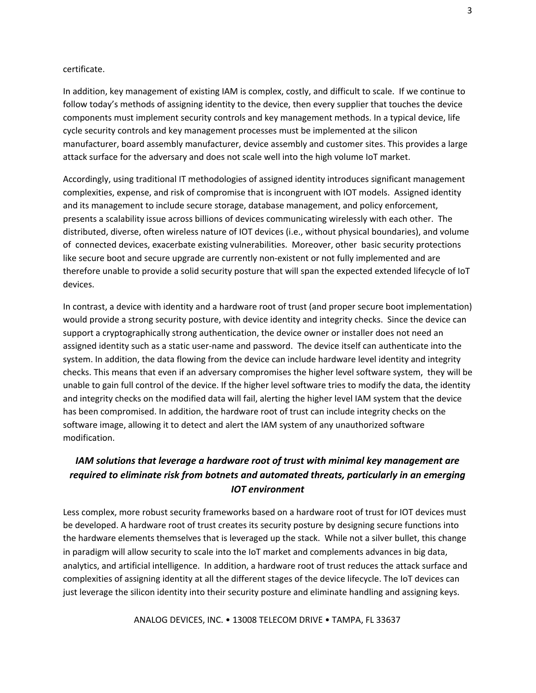#### certificate.

In addition, key management of existing IAM is complex, costly, and difficult to scale. If we continue to follow today's methods of assigning identity to the device, then every supplier that touches the device components must implement security controls and key management methods. In a typical device, life cycle security controls and key management processes must be implemented at the silicon manufacturer, board assembly manufacturer, device assembly and customer sites. This provides a large attack surface for the adversary and does not scale well into the high volume IoT market.

Accordingly, using traditional IT methodologies of assigned identity introduces significant management complexities, expense, and risk of compromise that is incongruent with IOT models. Assigned identity and its management to include secure storage, database management, and policy enforcement, presents a scalability issue across billions of devices communicating wirelessly with each other. The distributed, diverse, often wireless nature of IOT devices (i.e., without physical boundaries), and volume of connected devices, exacerbate existing vulnerabilities. Moreover, other basic security protections like secure boot and secure upgrade are currently non-existent or not fully implemented and are therefore unable to provide a solid security posture that will span the expected extended lifecycle of IoT devices.

In contrast, a device with identity and a hardware root of trust (and proper secure boot implementation) would provide a strong security posture, with device identity and integrity checks. Since the device can support a cryptographically strong authentication, the device owner or installer does not need an assigned identity such as a static user-name and password. The device itself can authenticate into the system. In addition, the data flowing from the device can include hardware level identity and integrity checks. This means that even if an adversary compromises the higher level software system, they will be unable to gain full control of the device. If the higher level software tries to modify the data, the identity and integrity checks on the modified data will fail, alerting the higher level IAM system that the device has been compromised. In addition, the hardware root of trust can include integrity checks on the software image, allowing it to detect and alert the IAM system of any unauthorized software modification.

# IAM solutions that leverage a hardware root of trust with minimal key management are required to eliminate risk from botnets and automated threats, particularly in an emerging IOT environment

Less complex, more robust security frameworks based on a hardware root of trust for IOT devices must be developed. A hardware root of trust creates its security posture by designing secure functions into the hardware elements themselves that is leveraged up the stack. While not a silver bullet, this change in paradigm will allow security to scale into the IoT market and complements advances in big data, analytics, and artificial intelligence. In addition, a hardware root of trust reduces the attack surface and complexities of assigning identity at all the different stages of the device lifecycle. The IoT devices can just leverage the silicon identity into their security posture and eliminate handling and assigning keys.

ANALOG DEVICES, INC. • 13008 TELECOM DRIVE • TAMPA, FL 33637